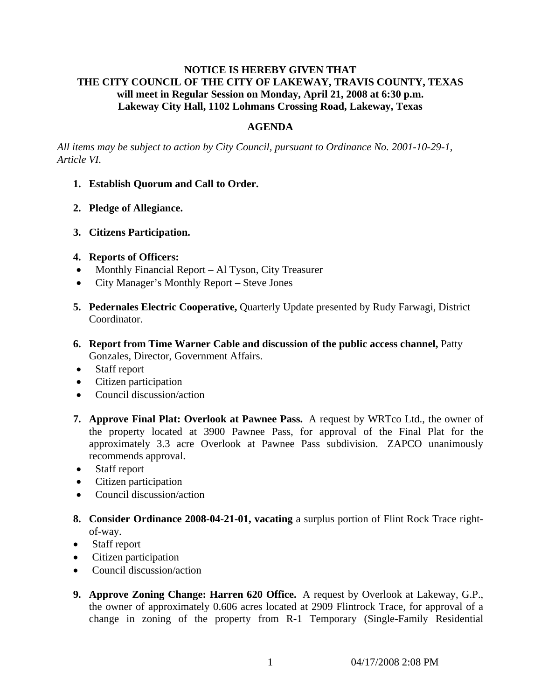## **NOTICE IS HEREBY GIVEN THAT THE CITY COUNCIL OF THE CITY OF LAKEWAY, TRAVIS COUNTY, TEXAS will meet in Regular Session on Monday, April 21, 2008 at 6:30 p.m. Lakeway City Hall, 1102 Lohmans Crossing Road, Lakeway, Texas**

#### **AGENDA**

*All items may be subject to action by City Council, pursuant to Ordinance No. 2001-10-29-1, Article VI.* 

- **1. Establish Quorum and Call to Order.**
- **2. Pledge of Allegiance.**
- **3. Citizens Participation.**

#### **4. Reports of Officers:**

- Monthly Financial Report Al Tyson, City Treasurer
- City Manager's Monthly Report Steve Jones
- **5. Pedernales Electric Cooperative,** Quarterly Update presented by Rudy Farwagi, District Coordinator.
- **6. Report from Time Warner Cable and discussion of the public access channel,** Patty Gonzales, Director, Government Affairs.
- Staff report
- Citizen participation
- Council discussion/action
- **7. Approve Final Plat: Overlook at Pawnee Pass.** A request by WRTco Ltd., the owner of the property located at 3900 Pawnee Pass, for approval of the Final Plat for the approximately 3.3 acre Overlook at Pawnee Pass subdivision. ZAPCO unanimously recommends approval.
- Staff report
- Citizen participation
- Council discussion/action
- **8. Consider Ordinance 2008-04-21-01, vacating** a surplus portion of Flint Rock Trace rightof-way.
- Staff report
- Citizen participation
- Council discussion/action
- **9. Approve Zoning Change: Harren 620 Office.** A request by Overlook at Lakeway, G.P., the owner of approximately 0.606 acres located at 2909 Flintrock Trace, for approval of a change in zoning of the property from R-1 Temporary (Single-Family Residential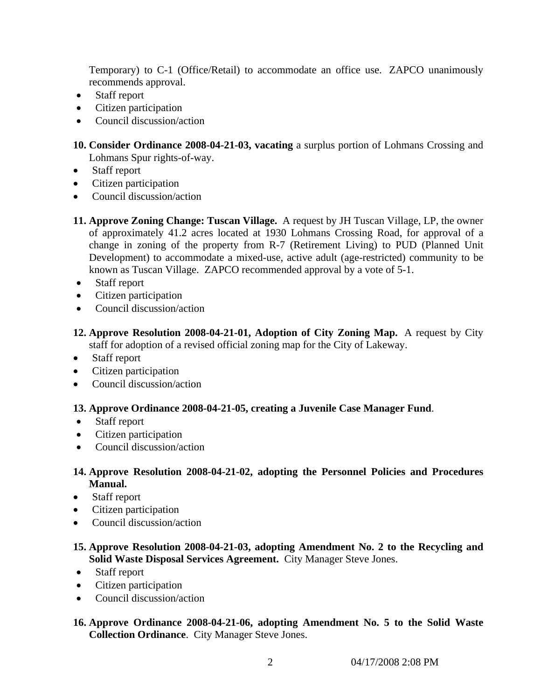Temporary) to C-1 (Office/Retail) to accommodate an office use. ZAPCO unanimously recommends approval.

- Staff report
- Citizen participation
- Council discussion/action
- **10. Consider Ordinance 2008-04-21-03, vacating** a surplus portion of Lohmans Crossing and Lohmans Spur rights-of-way.
- Staff report
- Citizen participation
- Council discussion/action
- **11. Approve Zoning Change: Tuscan Village.** A request by JH Tuscan Village, LP, the owner of approximately 41.2 acres located at 1930 Lohmans Crossing Road, for approval of a change in zoning of the property from R-7 (Retirement Living) to PUD (Planned Unit Development) to accommodate a mixed-use, active adult (age-restricted) community to be known as Tuscan Village. ZAPCO recommended approval by a vote of 5-1.
- Staff report
- Citizen participation
- Council discussion/action
- **12. Approve Resolution 2008-04-21-01, Adoption of City Zoning Map.** A request by City staff for adoption of a revised official zoning map for the City of Lakeway.
- Staff report
- Citizen participation
- Council discussion/action

# **13. Approve Ordinance 2008-04-21-05, creating a Juvenile Case Manager Fund**.

- Staff report
- Citizen participation
- Council discussion/action

# **14. Approve Resolution 2008-04-21-02, adopting the Personnel Policies and Procedures Manual.**

- Staff report
- Citizen participation
- Council discussion/action

# **15. Approve Resolution 2008-04-21-03, adopting Amendment No. 2 to the Recycling and Solid Waste Disposal Services Agreement.** City Manager Steve Jones.

- Staff report
- Citizen participation
- Council discussion/action
- **16. Approve Ordinance 2008-04-21-06, adopting Amendment No. 5 to the Solid Waste Collection Ordinance**. City Manager Steve Jones.